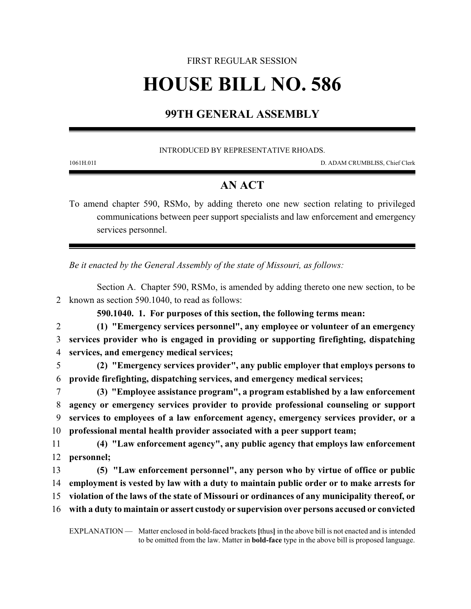## FIRST REGULAR SESSION **HOUSE BILL NO. 586**

## **99TH GENERAL ASSEMBLY**

INTRODUCED BY REPRESENTATIVE RHOADS.

1061H.01I D. ADAM CRUMBLISS, Chief Clerk

## **AN ACT**

To amend chapter 590, RSMo, by adding thereto one new section relating to privileged communications between peer support specialists and law enforcement and emergency services personnel.

*Be it enacted by the General Assembly of the state of Missouri, as follows:*

Section A. Chapter 590, RSMo, is amended by adding thereto one new section, to be 2 known as section 590.1040, to read as follows:

**590.1040. 1. For purposes of this section, the following terms mean:**

2 **(1) "Emergency services personnel", any employee or volunteer of an emergency** 3 **services provider who is engaged in providing or supporting firefighting, dispatching** 4 **services, and emergency medical services;**

5 **(2) "Emergency services provider", any public employer that employs persons to** 6 **provide firefighting, dispatching services, and emergency medical services;**

 **(3) "Employee assistance program", a program established by a law enforcement agency or emergency services provider to provide professional counseling or support services to employees of a law enforcement agency, emergency services provider, or a professional mental health provider associated with a peer support team;**

11 **(4) "Law enforcement agency", any public agency that employs law enforcement** 12 **personnel;**

 **(5) "Law enforcement personnel", any person who by virtue of office or public employment is vested by law with a duty to maintain public order or to make arrests for violation of the laws of the state of Missouri or ordinances of any municipality thereof, or with a duty to maintain or assert custody or supervision over persons accused or convicted**

EXPLANATION — Matter enclosed in bold-faced brackets **[**thus**]** in the above bill is not enacted and is intended to be omitted from the law. Matter in **bold-face** type in the above bill is proposed language.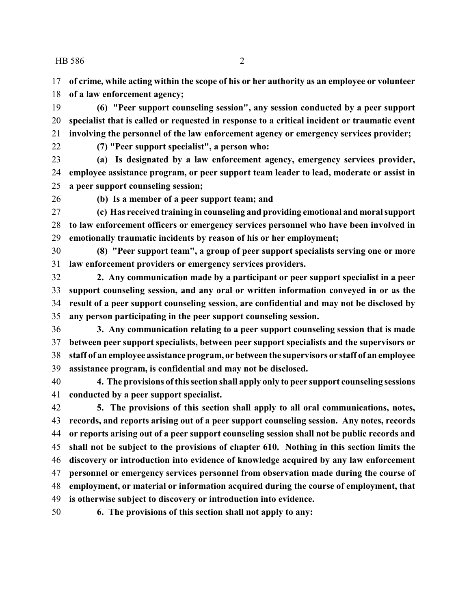HB 586 2

**of crime, while acting within the scope of his or her authority as an employee or volunteer**

**of a law enforcement agency;**

 **(6) "Peer support counseling session", any session conducted by a peer support specialist that is called or requested in response to a critical incident or traumatic event involving the personnel of the law enforcement agency or emergency services provider;**

**(7) "Peer support specialist", a person who:**

 **(a) Is designated by a law enforcement agency, emergency services provider, employee assistance program, or peer support team leader to lead, moderate or assist in a peer support counseling session;**

**(b) Is a member of a peer support team; and**

 **(c) Has received training in counseling and providing emotional and moral support to law enforcement officers or emergency services personnel who have been involved in emotionally traumatic incidents by reason of his or her employment;**

 **(8) "Peer support team", a group of peer support specialists serving one or more law enforcement providers or emergency services providers.**

 **2. Any communication made by a participant or peer support specialist in a peer support counseling session, and any oral or written information conveyed in or as the result of a peer support counseling session, are confidential and may not be disclosed by any person participating in the peer support counseling session.**

 **3. Any communication relating to a peer support counseling session that is made between peer support specialists, between peer support specialists and the supervisors or staff of an employee assistance program, or between the supervisors or staff of an employee assistance program, is confidential and may not be disclosed.**

 **4. The provisions ofthis section shall apply only to peer support counseling sessions conducted by a peer support specialist.**

 **5. The provisions of this section shall apply to all oral communications, notes, records, and reports arising out of a peer support counseling session. Any notes, records or reports arising out of a peer support counseling session shall not be public records and shall not be subject to the provisions of chapter 610. Nothing in this section limits the discovery or introduction into evidence of knowledge acquired by any law enforcement personnel or emergency services personnel from observation made during the course of employment, or material or information acquired during the course of employment, that is otherwise subject to discovery or introduction into evidence.**

**6. The provisions of this section shall not apply to any:**